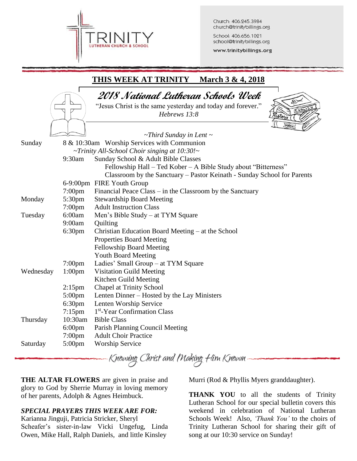

Church: 406.245.3984 church@trinitybillings.org

School: 406.656.1021 school@trinitybillings.org

www.trinitybillings.org

|           |                                 | THIS WEEK AT TRINITY<br><u>March 3 &amp; 4, 2018</u>                                                                                 |
|-----------|---------------------------------|--------------------------------------------------------------------------------------------------------------------------------------|
|           |                                 | 2018 National Lutheran Schools Week<br>"Jesus Christ is the same yesterday and today and forever."<br>ENG<br>Hebrews 13:8<br>Ristory |
|           |                                 | MATH<br>$\sim$ Third Sunday in Lent $\sim$                                                                                           |
| Sunday    |                                 | 8 & 10:30am Worship Services with Communion                                                                                          |
|           |                                 | $\sim$ Trinity All-School Choir singing at 10:30! $\sim$                                                                             |
|           | 9:30am                          | Sunday School & Adult Bible Classes                                                                                                  |
|           |                                 | Fellowship Hall - Ted Kober - A Bible Study about "Bitterness"                                                                       |
|           |                                 | Classroom by the Sanctuary - Pastor Keinath - Sunday School for Parents                                                              |
|           |                                 | 6-9:00pm FIRE Youth Group                                                                                                            |
|           | $7:00$ pm                       | Financial Peace Class – in the Classroom by the Sanctuary                                                                            |
| Monday    | 5:30pm                          | <b>Stewardship Board Meeting</b>                                                                                                     |
|           | $7:00$ pm                       | <b>Adult Instruction Class</b>                                                                                                       |
| Tuesday   | 6:00am                          | Men's Bible Study - at TYM Square                                                                                                    |
|           | 9:00am                          | Quilting                                                                                                                             |
|           | 6:30 <sub>pm</sub>              | Christian Education Board Meeting - at the School                                                                                    |
|           |                                 | Properties Board Meeting                                                                                                             |
|           |                                 | Fellowship Board Meeting                                                                                                             |
|           |                                 | <b>Youth Board Meeting</b>                                                                                                           |
|           | $7:00$ pm                       | Ladies' Small Group – at TYM Square                                                                                                  |
| Wednesday | $1:00$ pm                       | <b>Visitation Guild Meeting</b>                                                                                                      |
|           |                                 | Kitchen Guild Meeting                                                                                                                |
|           | $2:15$ pm                       | <b>Chapel at Trinity School</b>                                                                                                      |
|           | $5:00 \text{pm}$                | Lenten Dinner – Hosted by the Lay Ministers                                                                                          |
|           | 6:30 <sub>pm</sub><br>$7:15$ pm | Lenten Worship Service<br>1 <sup>st</sup> -Year Confirmation Class                                                                   |
| Thursday  | 10:30am                         | <b>Bible Class</b>                                                                                                                   |
|           | $6:00$ pm                       | Parish Planning Council Meeting                                                                                                      |
|           | $7:00$ pm                       | <b>Adult Choir Practice</b>                                                                                                          |
| Saturday  | $5:00 \text{pm}$                | <b>Worship Service</b>                                                                                                               |
|           |                                 |                                                                                                                                      |

Knowing Christ and Making Him Known

**THE ALTAR FLOWERS** are given in praise and glory to God by Sherrie Murray in loving memory of her parents, Adolph & Agnes Heimbuck.

## *SPECIAL PRAYERS THIS WEEK ARE FOR:*

Karianna Jinguji, Patricia Stricker, Sheryl Scheafer's sister-in-law Vicki Ungefug, Linda Owen, Mike Hall, Ralph Daniels, and little Kinsley

Murri (Rod & Phyllis Myers granddaughter).

**THANK YOU** to all the students of Trinity Lutheran School for our special bulletin covers this weekend in celebration of National Lutheran Schools Week! Also, *'Thank You'* to the choirs of Trinity Lutheran School for sharing their gift of song at our 10:30 service on Sunday!